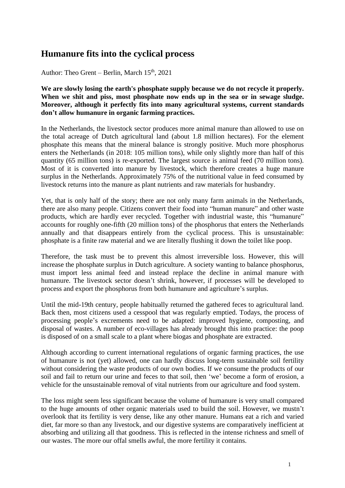## **Humanure fits into the cyclical process**

Author: Theo Grent – Berlin, March 15<sup>th</sup>, 2021

**We are slowly losing the earth's phosphate supply because we do not recycle it properly. When we shit and piss, most phosphate now ends up in the sea or in sewage sludge. Moreover, although it perfectly fits into many agricultural systems, current standards don't allow humanure in organic farming practices.**

In the Netherlands, the livestock sector produces more animal manure than allowed to use on the total acreage of Dutch agricultural land (about 1.8 million hectares). For the element phosphate this means that the mineral balance is strongly positive. Much more phosphorus enters the Netherlands (in 2018: 105 million tons), while only slightly more than half of this quantity (65 million tons) is re-exported. The largest source is animal feed (70 million tons). Most of it is converted into manure by livestock, which therefore creates a huge manure surplus in the Netherlands. Approximately 75% of the nutritional value in feed consumed by livestock returns into the manure as plant nutrients and raw materials for husbandry.

Yet, that is only half of the story; there are not only many farm animals in the Netherlands, there are also many people. Citizens convert their food into "human manure" and other waste products, which are hardly ever recycled. Together with industrial waste, this "humanure" accounts for roughly one-fifth (20 million tons) of the phosphorus that enters the Netherlands annually and that disappears entirely from the cyclical process. This is unsustainable: phosphate is a finite raw material and we are literally flushing it down the toilet like poop.

Therefore, the task must be to prevent this almost irreversible loss. However, this will increase the phosphate surplus in Dutch agriculture. A society wanting to balance phosphorus, must import less animal feed and instead replace the decline in animal manure with humanure. The livestock sector doesn't shrink, however, if processes will be developed to process and export the phosphorus from both humanure and agriculture's surplus.

Until the mid-19th century, people habitually returned the gathered feces to agricultural land. Back then, most citizens used a cesspool that was regularly emptied. Todays, the process of processing people's excrements need to be adapted: improved hygiene, composting, and disposal of wastes. A number of eco-villages has already brought this into practice: the poop is disposed of on a small scale to a plant where biogas and phosphate are extracted.

Although according to current international regulations of organic farming practices, the use of humanure is not (yet) allowed, one can hardly discuss long-term sustainable soil fertility without considering the waste products of our own bodies. If we consume the products of our soil and fail to return our urine and feces to that soil, then 'we' become a form of erosion, a vehicle for the unsustainable removal of vital nutrients from our agriculture and food system.

The loss might seem less significant because the volume of humanure is very small compared to the huge amounts of other organic materials used to build the soil. However, we mustn't overlook that its fertility is very dense, like any other manure. Humans eat a rich and varied diet, far more so than any livestock, and our digestive systems are comparatively inefficient at absorbing and utilizing all that goodness. This is reflected in the intense richness and smell of our wastes. The more our offal smells awful, the more fertility it contains.